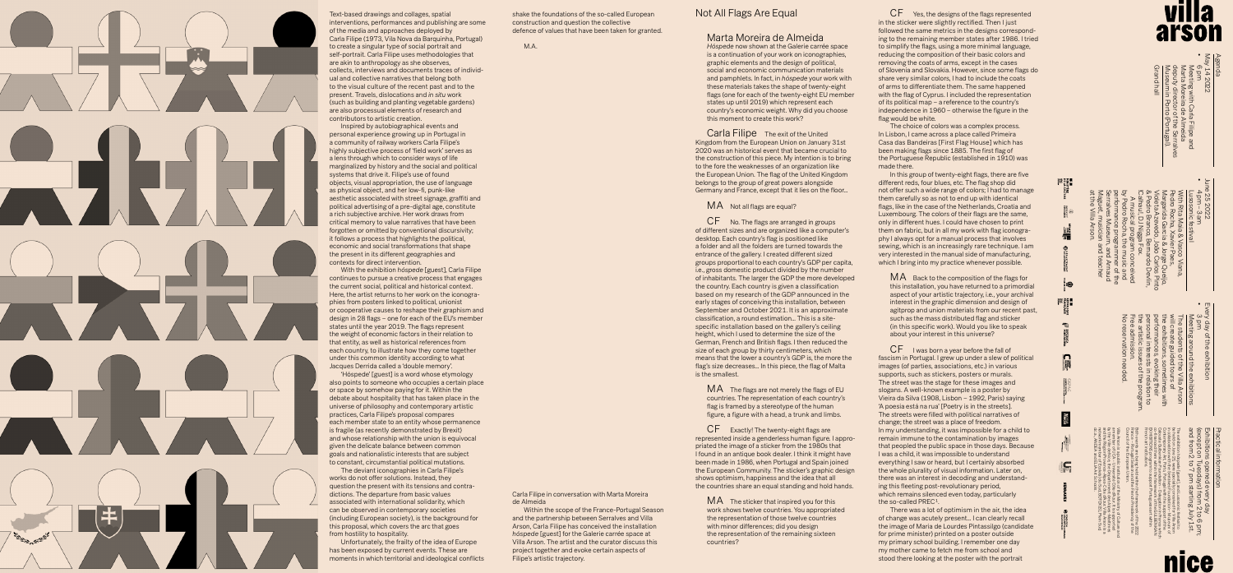shake the foundations of the so-called European construction and question the collective defence of values that have been taken for granted.

M.A.

## Not All Flags Are Equal

# Marta Moreira de Almeida

*Hóspede* now shown at the Galerie carrée space is a continuation of your work on iconographies, graphic elements and the design of political, social and economic communication materials and pamphlets. In fact, in *hóspede* your work with these materials takes the shape of twenty-eight flags (one for each of the twenty-eight EU member states up until 2019) which represent each country's economic weight. Why did you choose this moment to create this work?

Carla Filipe The exit of the United Kingdom from the European Union on January 31st 2020 was an historical event that became crucial to the construction of this piece. My intention is to bring to the fore the weaknesses of an organization like the European Union. The flag of the United Kingdom belongs to the group of great powers alongside Germany and France, except that it lies on the floor…

## MA Not all flags are equal?

MA The flags are not merely the flags of EU countries. The representation of each country's flag is framed by a stereotype of the human figure, a figure with a head, a trunk and limbs.

CF Exactly! The twenty-eight flags are represented inside a genderless human figure. I appropriated the image of a sticker from the 1980s that I found in an antique book dealer. I think it might have been made in 1986, when Portugal and Spain joined the European Community. The sticker's graphic design shows optimism, happiness and the idea that all the countries share an equal standing and hold hands.

MA The sticker that inspired you for this work shows twelve countries. You appropriated the representation of those twelve countries with minor differences; did you design the representation of the remaining sixteen countries?

CF No. The flags are arranged in groups of different sizes and are organized like a computer's desktop. Each country's flag is positioned like a folder and all the folders are turned towards the entrance of the gallery. I created different sized groups proportional to each country's GDP per capita, i.e., gross domestic product divided by the number of inhabitants. The larger the GDP the more developed the country. Each country is given a classification based on my research of the GDP announced in the early stages of conceiving this installation, between September and October 2021. It is an approximate classification, a round estimation… This is a sitespecific installation based on the gallery's ceiling height, which I used to determine the size of the German, French and British flags. I then reduced the size of each group by thirty centimeters, which means that the lower a country's GDP is, the more the flag's size decreases… In this piece, the flag of Malta is the smallest.

The choice of colors was a complex process. In Lisbon, I came across a place called Primeira Casa das Bandeiras [First Flag House] which has been making flags since 1885. The first flag of the Portuguese Republic (established in 1910) was made there.

In this group of twenty-eight flags, there are five different reds, four blues, etc. The flag shop did not offer such a wide range of colors; I had to manage them carefully so as not to end up with identical flags, like in the case of the Netherlands, Croatia and Luxembourg. The colors of their flags are the same, only in different hues. I could have chosen to print them on fabric, but in all my work with flag iconography I always opt for a manual process that involves sewing, which is an increasingly rare technique. I am very interested in the manual side of manufacturing, which I bring into my practice whenever possible.

 $MA$  Back to the composition of the flags for this installation, you have returned to a primordial aspect of your artistic trajectory, i.e., your archival interest in the graphic dimension and design of agitprop and union materials from our recent past, such as the mass distributed flag and sticker (in this specific work). Would you like to speak about your interest in this universe?

CF I was born a year before the fall of fascism in Portugal. I grew up under a slew of political images (of parties, associations, etc.) in various supports, such as stickers, posters or murals. The street was the stage for these images and slogans. A well-known example is a poster by Vieira da Silva (1908, Lisbon – 1992, Paris) saying 'A poesia está na rua' [Poetry is in the streets]. The streets were filled with political narratives of change; the street was a place of freedom. In my understanding, it was impossible for a child to remain immune to the contamination by images that peopled the public space in those days. Because I was a child, it was impossible to understand everything I saw or heard, but I certainly absorbed the whole plurality of visual information. Later on, there was an interest in decoding and understanding this fleeting post-revolutionary period, which remains silenced even today, particularly the so-called PREC<sup>1</sup>

CF Yes, the designs of the flags represented in the sticker were slightly rectified. Then I just followed the same metrics in the designs corresponding to the remaining member states after 1986. I tried to simplify the flags, using a more minimal language, reducing the composition of their basic colors and removing the coats of arms, except in the cases of Slovenia and Slovakia. However, since some flags do share very similar colors, I had to include the coats of arms to differentiate them. The same happened with the flag of Cyprus. I included the representation of its political map – a reference to the country's independence in 1960 – otherwise the figure in the flag would be white.

May 14 2022 Grand hall Museum in Porto (Portugal). deputy director of the Serralves Marta Moreira de Almeida Meeting with Carla Filipe and hm<br>Aleeting with Carla Filipe and<br>Antra Moreira de Almeida<br>Ancenm in Porto (Portugal).<br>Ancenm in Porto (Portugal).

June 25 2022 at the Villa Arson. Maguet, musician and teacher Serralves Museum, and Arnaud performance programmer of the by Pedro Rocha, the music and !Calhau !, DJ Nigga Fox. & Pedro Branco, Bernardo Devlin, Violeta Azevedo, João Carlos Pinto Margarida Garcia & Jorge Queijo, Pedro Rocha, Xavier Paes, With Lusosonic festival 4 pm – 3 am A musical program conceived Rita Maia & Vasco Viana, Queijo<br>rlos Pin<br>Devlir

There was a lot of optimism in the air, the idea of change was acutely present… I can clearly recall the image of Maria de Lourdes Pintassilgo (candidate for prime minister) printed on a poster outside my primary school building. I remember one day my mother came to fetch me from school and stood there looking at the poster with the portrait

# arson



Text-based drawings and collages, spatial interventions, performances and publishing are some of the media and approaches deployed by Carla Filipe (1973, Vila Nova da Barquinha, Portugal) to create a singular type of social portrait and self-portrait. Carla Filipe uses methodologies that are akin to anthropology as she observes, collects, interviews and documents traces of individual and collective narratives that belong both to the visual culture of the recent past and to the present. Travels, dislocations and *in situ* work (such as building and planting vegetable gardens) are also processual elements of research and contributors to artistic creation.

Inspired by autobiographical events and personal experience growing up in Portugal in a community of railway workers Carla Filipe's highly subjective process of 'field work' serves as a lens through which to consider ways of life marginalized by history and the social and political systems that drive it. Filipe's use of found objects, visual appropriation, the use of language as physical object, and her low-fi, punk-like aesthetic associated with street signage, graffiti and political advertising of a pre-digital age, constitute a rich subjective archive. Her work draws from critical memory to value narratives that have been forgotten or omitted by conventional discursivity; it follows a process that highlights the political, economic and social transformations that shape the present in its different geographies and contexts for direct intervention.

With the exhibition *hóspede* [guest], Carla Filipe continues to pursue a creative process that engages the current social, political and historical context. Here, the artist returns to her work on the iconographies from posters linked to political, unionist or cooperative causes to reshape their graphism and design in 28 flags – one for each of the EU's member states until the year 2019. The flags represent the weight of economic factors in their relation to that entity, as well as historical references from each country, to illustrate how they come together under this common identity according to what Jacques Derrida called a 'double memory'.

'Hóspede' [guest] is a word whose etymology also points to someone who occupies a certain place or space by somehow paying for it. Within the debate about hospitality that has taken place in the universe of philosophy and contemporary artistic practices, Carla Filipe's proposal compares each member state to an entity whose permanence is fragile (as recently demonstrated by Brexit) and whose relationship with the union is equivocal given the delicate balance between common goals and nationalistic interests that are subject to constant, circumstantial political mutations.

The deviant iconographies in Carla Filipe's works do not offer solutions. Instead, they question the present with its tensions and contradictions. The departure from basic values associated with international solidarity, which can be observed in contemporary societies (including European society), is the background for this proposal, which covers the arc that goes from hostility to hospitality.

Unfortunately, the frailty of the idea of Europe has been exposed by current events. These are moments in which territorial and ideological conflicts •

Agenda

•

•

No reservation needed. Free admission.

Every day of the exhibition 3 pm

the artistic issues of the program. personal interests in relation to performances, evoking their the exhibitions, sometimes with will create guided tours of The students of the Villa Arson Meeting around the exhibitions

> The exhibition and from 2 to 7 pm starting July 1st. (except on Tuesdays) from 2 to 6 pm; Exhibitions opened every day ilptions<br>cept on<br>I from 2 *hóspede*is opened every day<br>o Tuesdays) from 2 to 6 r<br>2 to 7 pm starting July 1. [guest], and Lusosonic festival to

nice

Practical information

d.c.a., ANDEA and ELIA Art Schools.

**AREA** 

**EN ARE** 

 $\Box$ 

IS

network member of Ecole(s) du Sud, BOTOX[S], Plein Sud, and the Région Provence-Alpes-Côte d'Azur. Villa Arson is a by the Ville de Nice, the Département des Alpes-Maritimes a member of UCA – Université Côte d'Azur. It is supported Villa Arson is a public institution of the Ministry of Culture and Council of the European Union.

France – Portugal Season and the French Presidency of the Both events are being held within the framework of the 2022 French art institutions.

EXHIBITIONS program to support Portuguese art within co-financed them within the framework of the GULBENKIAN Calouste Gulbenkian Foundation – Delegation in France which Contemporary Art, Porto, Portugal with the support of the in collaboration with the Serralves Foundation – Museum of be held on June 25, were specially conceived for Villa Arson

Carla Filipe in conversation with Marta Moreira de Almeida

Within the scope of the France-Portugal Season and the partnership between Serralves and Villa Arson, Carla Filipe has conceived the installation *hóspede* [guest] for the Galerie carrée space at Villa Arson. The artist and the curator discuss this project together and evoke certain aspects of Filipe's artistic trajectory.